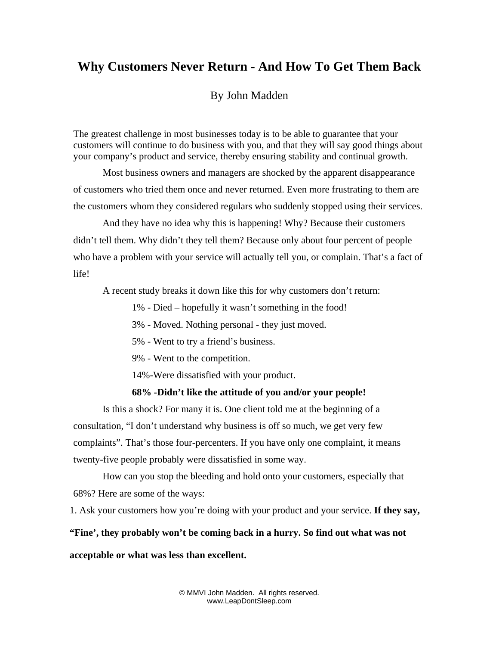## **Why Customers Never Return - And How To Get Them Back**

By John Madden

The greatest challenge in most businesses today is to be able to guarantee that your customers will continue to do business with you, and that they will say good things about your company's product and service, thereby ensuring stability and continual growth.

Most business owners and managers are shocked by the apparent disappearance of customers who tried them once and never returned. Even more frustrating to them are the customers whom they considered regulars who suddenly stopped using their services.

And they have no idea why this is happening! Why? Because their customers didn't tell them. Why didn't they tell them? Because only about four percent of people who have a problem with your service will actually tell you, or complain. That's a fact of life!

A recent study breaks it down like this for why customers don't return:

1% - Died – hopefully it wasn't something in the food!

- 3% Moved. Nothing personal they just moved.
- 5% Went to try a friend's business.
- 9% Went to the competition.

14%-Were dissatisfied with your product.

## **68% -Didn't like the attitude of you and/or your people!**

Is this a shock? For many it is. One client told me at the beginning of a consultation, "I don't understand why business is off so much, we get very few complaints". That's those four-percenters. If you have only one complaint, it means twenty-five people probably were dissatisfied in some way.

How can you stop the bleeding and hold onto your customers, especially that 68%? Here are some of the ways:

1. Ask your customers how you're doing with your product and your service. **If they say,** 

**"Fine', they probably won't be coming back in a hurry. So find out what was not** 

## **acceptable or what was less than excellent.**